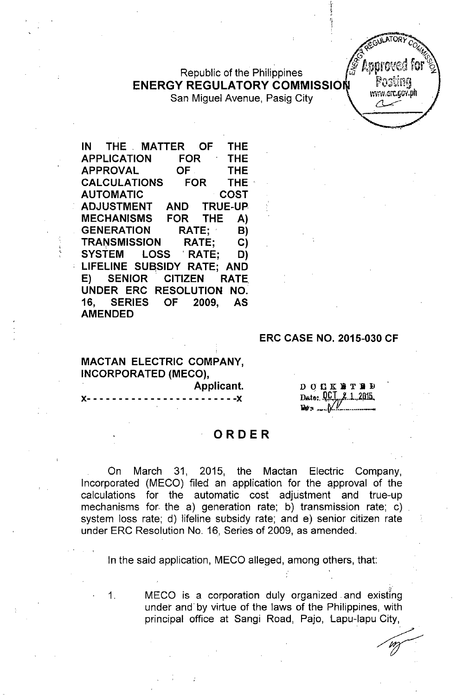Republic of the Philippines **ENERGY REGULATORY COMMISSIO** San Miguel Avenue, Pasig City

หรรษ.erc.gov.ph

**IN THE MATTER OF THE APPLICATION FOR THE APPROVAL OF THE CALCULATIONS FOR THE' AUTOMATIC COST ADJUSTMENT AND TRUE-UP MECHANISMS FOR THE A) GENERATION RATE; B)** TRA~SMISSION **RATE; C) SYSTEM LOSS 'RATE; D) LIFELINE SUaSIDY RATE; AND E) SENIOR' CITIZEN RATE. UNDER ERC RESOLUTION NO. 16, SERIES OF 2009, AS AMENDED**

### **ERC CASE NO. 2015-030 CF**

**MACTAN ELECTRIC COMPANY, INCORPORATED (MECO),**

**Applicant. J(- - - - - - - - - - - - - - - - - - - - - - - -J(**

DOCK BTHD Date: QCT 2 1 2015  $\mathbf{R}$   $\mathbf{v}$   $\mathbf{s}$   $\ldots$   $\mathbf{W}$ 

~

#### **ORDER**

On March 31, 2015, the Mactan Electric Company, Incorporated (MEGO) filed an application for the approval of the calculations for the automatic cost adjustment and true-up mechanisms for the a) generation rate; b) transmission rate; c) system loss rate; d) lifeline subsidy rate; and e) senior citizen rate under ERC Resolution No. 16, Series of 2009, as amended.

In the said application, MECO alleged, among others, that:

1. MEGO is a corporation duly organized and existing under and by virtue of the laws of the Philippines, with principal office at Sangi Road, Pajo, Lapu-Iapu City,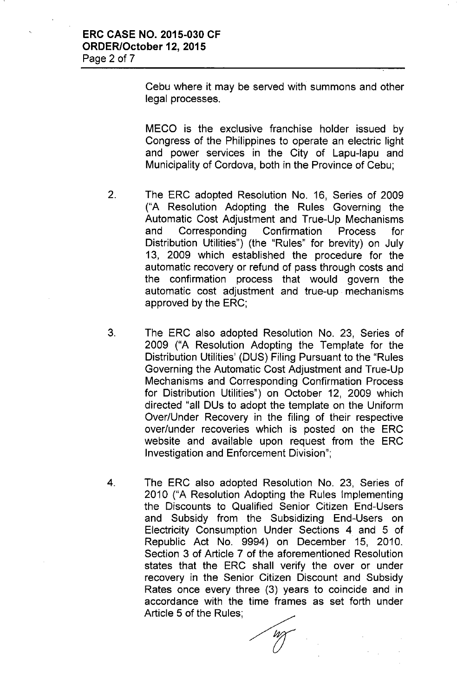Cebu where it may be served with summons and other legal processes.

MECO is the exclusive franchise holder issued by Congress of the Philippines to operate an electric light and power services in the City of Lapu-Iapu and Municipality of Cordova, both in the Province of Cebu;

- 2. The ERC adopted Resolution No. 16, Series of 2009 ("A Resolution Adopting the Rules Governing the Automatic Cost Adjustment and True-Up Mechanisms and Corresponding Confirmation Process for Distribution Utilities") (the "Rules" for brevity) on July 13, 2009 which established the procedure for the automatic recovery or refund of pass through costs and the confirmation process that would govern the automatic cost adjustment and true-up mechanisms approved by the ERC;
- 3. The ERC also adopted Resolution No. 23, Series of 2009 ("A Resolution Adopting the Template for the Distribution Utilities' (DUS) Filing Pursuant to the "Rules Governing the Automatic Cost Adjustment and True-Up Mechanisms and Corresponding Confirmation Process for Distribution Utilities") on October 12, 2009 which directed "all DUs to adopt the template on the Uniform Over/Under Recovery in the filing of their respective over/under recoveries which is posted on the ERC website and available upon request from the ERC Investigation and Enforcement Division";
- 4. The ERC also adopted Resolution No. 23, Series of 2010 ("A Resolution Adopting the Rules Implementing the Discounts to Qualified Senior Citizen End-Users and Subsidy from the Subsidizing End-Users on Electricity Consumption Under Sections 4 and 5 of Republic Act No. 9994) on December 15, 2010. Section 3 of Article 7 of the aforementioned Resolution states that the ERC shall verify the over or under recovery in the Senior Citizen Discount and Subsidy Rates once every three (3) years to coincide and in accordance with the time frames as set forth under Article 5 of the Rules;

*(J*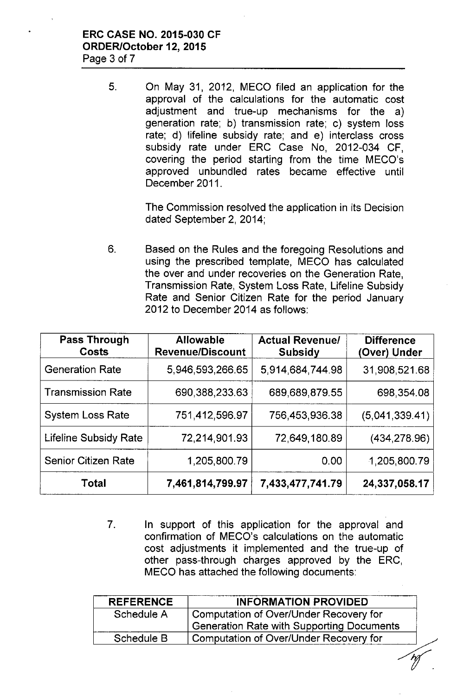## **ERC CASE NO. 2015-030 CF ORDER/October 12, 2015** Page 3 of 7

5. On May 31, 2012, MECO filed an application for the approval of the calculations for the automatic cost adjustment and true-up mechanisms for the a) generation rate; b) transmission rate; c) system loss rate; d) lifeline subsidy rate; and e) interclass cross subsidy rate under ERC Case No, 2012-034 CF, covering the period starting from the time MECO's approved unbundled rates became effective until December 2011.

> The Commission resolved the application in its Decision dated September 2, 2014;

6. Based on the Rules and the foregoing Resolutions and using the prescribed template, MECO has calculated the over and under recoveries on the Generation Rate, Transmission Rate, System Loss Rate, Lifeline Subsidy Rate and Senior Citizen Rate for the period January 2012 to December 2014 as follows:

| <b>Pass Through</b><br>Costs | <b>Allowable</b><br><b>Revenue/Discount</b> | <b>Actual Revenue/</b><br><b>Subsidy</b> | <b>Difference</b><br>(Over) Under |
|------------------------------|---------------------------------------------|------------------------------------------|-----------------------------------|
| <b>Generation Rate</b>       | 5,946,593,266.65                            | 5,914,684,744.98                         | 31,908,521.68                     |
| <b>Transmission Rate</b>     | 690,388,233.63                              | 689,689,879.55                           | 698, 354.08                       |
| <b>System Loss Rate</b>      | 751,412,596.97                              | 756,453,936.38                           | (5,041,339.41)                    |
| <b>Lifeline Subsidy Rate</b> | 72,214,901.93                               | 72,649,180.89                            | (434, 278.96)                     |
| <b>Senior Citizen Rate</b>   | 1,205,800.79                                | 0.00                                     | 1,205,800.79                      |
| <b>Total</b>                 | 7,461,814,799.97                            | 7,433,477,741.79                         | 24,337,058.17                     |

7. In support of this application for the approval and confirmation of MECO's calculations on the automatic cost adjustments it implemented and the true-up of other pass-through charges approved by the ERC, MECO has attached the following documents:

| <b>REFERENCE</b> | <b>INFORMATION PROVIDED</b>               |  |
|------------------|-------------------------------------------|--|
| Schedule A       | Computation of Over/Under Recovery for    |  |
|                  | Generation Rate with Supporting Documents |  |
| Schedule B       | Computation of Over/Under Recovery for    |  |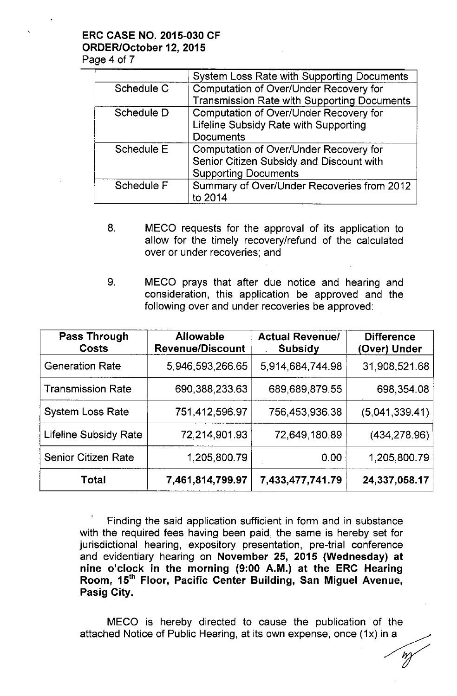# **ERC CASE NO. 2015-030 CF ORDER/October 12, 2015**

Page 4 of 7

|            | <b>System Loss Rate with Supporting Documents</b>  |  |  |
|------------|----------------------------------------------------|--|--|
| Schedule C | Computation of Over/Under Recovery for             |  |  |
|            | <b>Transmission Rate with Supporting Documents</b> |  |  |
| Schedule D | Computation of Over/Under Recovery for             |  |  |
|            | Lifeline Subsidy Rate with Supporting              |  |  |
|            | <b>Documents</b>                                   |  |  |
| Schedule E | <b>Computation of Over/Under Recovery for</b>      |  |  |
|            | Senior Citizen Subsidy and Discount with           |  |  |
|            | <b>Supporting Documents</b>                        |  |  |
| Schedule F | Summary of Over/Under Recoveries from 2012         |  |  |
|            | to 2014                                            |  |  |

- 8. MECO requests for the approval of its application to allow for the timely recovery/refund of the calculated over or under recoveries; and
- 9. MECO prays that after due notice and hearing and consideration, this application be approved and the following over and under recoveries be approved:

| Pass Through<br><b>Costs</b> | <b>Allowable</b><br><b>Revenue/Discount</b> | <b>Actual Revenue/</b><br><b>Subsidy</b> | <b>Difference</b><br>(Over) Under |
|------------------------------|---------------------------------------------|------------------------------------------|-----------------------------------|
| <b>Generation Rate</b>       | 5,946,593,266.65                            | 5,914,684,744.98                         | 31.908,521.68                     |
| <b>Transmission Rate</b>     | 690,388,233.63                              | 689,689,879.55                           | 698, 354.08                       |
| <b>System Loss Rate</b>      | 751,412,596.97                              | 756,453,936.38                           | (5,041,339.41)                    |
| <b>Lifeline Subsidy Rate</b> | 72,214,901.93                               | 72,649,180.89                            | (434, 278.96)                     |
| <b>Senior Citizen Rate</b>   | 1,205,800.79                                | 0.00                                     | 1,205,800.79                      |
| Total                        | 7,461,814,799.97                            | 7,433,477,741.79                         | 24,337,058.17                     |

Finding the said application sufficient in form and in substance with the required fees having been paid, the same is hereby set for jurisdictional hearing, expository presentation, pre-trial conference and evidentiary hearing on **November 25, 2015 (Wednesday) at nine o'clock in the morning (9:00 A.M.) at the ERC Hearing Room, 15th Floor, Pacific Center Building, San Miguel Avenue, Pasig City.**

MECO is hereby directed to cause the publication of the attached Notice of Public Hearing, at its own expense, once (1x) in a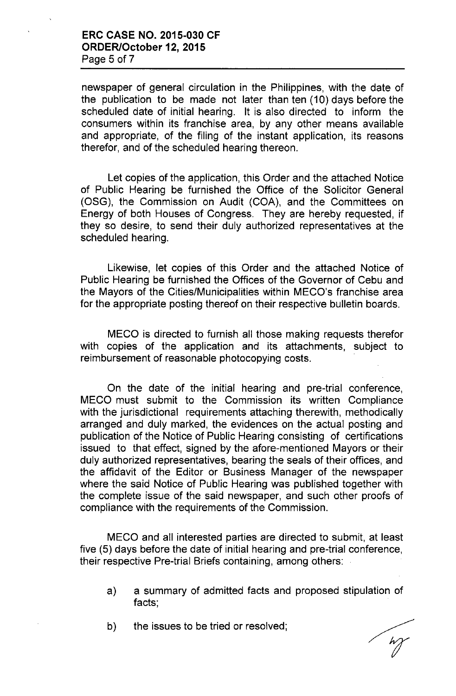## **ERC CASE NO. 2015-030 CF ORDER/October 12, 2015** Page 5 of 7

newspaper of general circulation in the Philippines, with the date of the publication to be made not later than ten (10) days before the scheduled date of initial hearing. It is also directed to inform the consumers within its franchise area, by any other means available and appropriate, of the filing of the instant application, its reasons therefor, and of the scheduled hearing thereon.

Let copies of the application, this Order and the attached Notice of Public Hearing be furnished the Office of the Solicitor General (OSG), the Commission on Audit (COA), and the Committees on Energy of both Houses of Congress. They are hereby requested, if they so desire, to send their duly authorized representatives at the scheduled hearing.

Likewise, let copies of this Order and the attached Notice of Public Hearing be furnished the Offices of the Governor of Cebu and the Mayors of the Cities/Municipalities within MECO's franchise area for the appropriate posting thereof on their respective bulletin boards.

MECO is directed to furnish all those making requests therefor with copies of the application and its attachments, subject to reimbursement of reasonable photocopying costs.

On the date of the initial hearing and pre-trial conference, MECO must submit to the Commission its written Compliance with the jurisdictional requirements attaching therewith, methodically arranged and duly marked, the evidences on the actual posting and publication of the Notice of Public Hearing consisting of certifications issued to that effect, signed by the afore-mentioned Mayors or their duly authorized representatives, bearing the seals of their offices, and the affidavit of the Editor or Business Manager of the newspaper where the said Notice of Public Hearing was published together with the complete issue of the said newspaper, and such other proofs of compliance with the requirements of the Commission.

MECO and all interested parties are directed to submit, at least five (5) days before the date of initial hearing and pre-trial conference, their respective Pre-trial Briefs containing, among others:

- a) a summary of admitted facts and proposed stipulation of facts;
- b) the issues to be tried or resolved;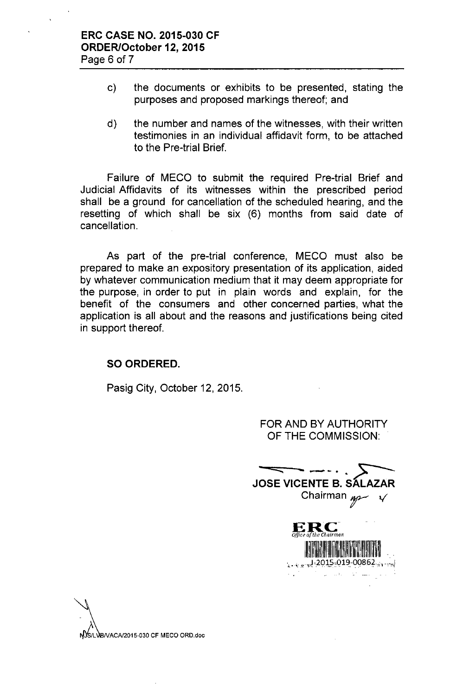- c) the documents or exhibits to be presented, stating the purposes and proposed markings thereof; and
- d) the number and names of the witnesses, with their written testimonies in an individual affidavit form, to be attached to the Pre-trial Brief.

Failure of MECO to submit the required Pre-trial Brief and Judicial Affidavits of its witnesses within the prescribed period shall be a ground for cancellation of the scheduled hearing, and the resetting of which shall be six (6) months from said date of cancellation.

As part of the pre-trial conference, MECO must also be prepared to make an expository presentation of its application, aided by whatever communication medium that it may deem appropriate for the purpose, in order to put in plain words and explain, for the benefit of the consumers and other concerned parties, what the application is all about and the reasons and justifications being cited in support thereof.

# **SO ORDERED.**

Pasig City, October 12, 2015.

FOR AND BY AUTHORITY OF THE COMMISSION:

**JOSE VICENTE B. SÁLAZAR** Chairman  $n \rightarrow \sqrt{ }$ ERC  $1.11 - 2015 - 019 - 00862$  $\mathbb{Z}_{2}^{(1)}$ 



NOS/LVB/VACA/2015-030 CF MECO ORD.doc